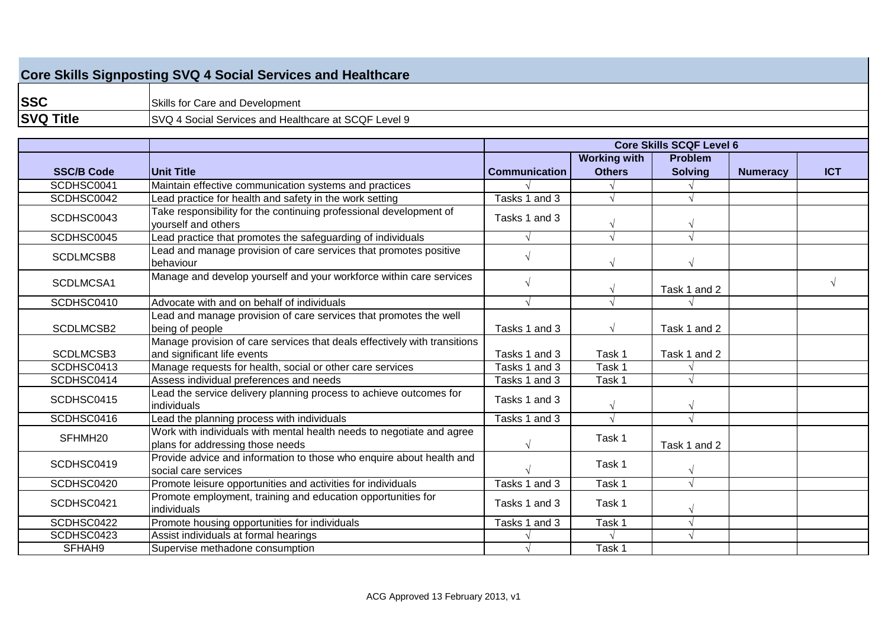## **Core Skills Signposting SVQ 4 Social Services and Healthcare**

**SSC SVQ Title** SVQ 4 Social Services and Healthcare at SCQF Level 9 Skills for Care and Development

|                     |                                                                                                           | <b>Core Skills SCQF Level 6</b> |                     |                |                 |            |
|---------------------|-----------------------------------------------------------------------------------------------------------|---------------------------------|---------------------|----------------|-----------------|------------|
|                     |                                                                                                           |                                 | <b>Working with</b> | <b>Problem</b> |                 |            |
| <b>SSC/B Code</b>   | Unit Title                                                                                                | <b>Communication</b>            | <b>Others</b>       | <b>Solving</b> | <b>Numeracy</b> | <b>ICT</b> |
| SCDHSC0041          | Maintain effective communication systems and practices                                                    |                                 |                     |                |                 |            |
| SCDHSC0042          | Lead practice for health and safety in the work setting                                                   | Tasks 1 and 3                   |                     |                |                 |            |
| SCDHSC0043          | Take responsibility for the continuing professional development of<br>vourself and others                 | Tasks 1 and 3                   |                     |                |                 |            |
| SCDHSC0045          | Lead practice that promotes the safeguarding of individuals                                               |                                 | $\sqrt{ }$          |                |                 |            |
| SCDLMCSB8           | Lead and manage provision of care services that promotes positive<br>behaviour                            |                                 |                     |                |                 |            |
| SCDLMCSA1           | Manage and develop yourself and your workforce within care services                                       |                                 | $\sqrt{ }$          | Task 1 and 2   |                 | $\sqrt{ }$ |
| SCDHSC0410          | Advocate with and on behalf of individuals                                                                |                                 | $\sqrt{ }$          |                |                 |            |
| SCDLMCSB2           | Lead and manage provision of care services that promotes the well<br>being of people                      | Tasks 1 and 3                   | $\sqrt{ }$          | Task 1 and 2   |                 |            |
| SCDLMCSB3           | Manage provision of care services that deals effectively with transitions<br>and significant life events  | Tasks 1 and 3                   | Task 1              | Task 1 and 2   |                 |            |
| SCDHSC0413          | Manage requests for health, social or other care services                                                 | Tasks 1 and 3                   | Task 1              |                |                 |            |
| SCDHSC0414          | Assess individual preferences and needs                                                                   | Tasks 1 and 3                   | Task 1              |                |                 |            |
| SCDHSC0415          | Lead the service delivery planning process to achieve outcomes for<br>individuals                         | Tasks 1 and 3                   | V                   |                |                 |            |
| SCDHSC0416          | Lead the planning process with individuals                                                                | Tasks 1 and 3                   |                     |                |                 |            |
| SFHMH <sub>20</sub> | Work with individuals with mental health needs to negotiate and agree<br>plans for addressing those needs |                                 | Task 1              | Task 1 and 2   |                 |            |
| SCDHSC0419          | Provide advice and information to those who enquire about health and<br>social care services              |                                 | Task 1              |                |                 |            |
| SCDHSC0420          | Promote leisure opportunities and activities for individuals                                              | Tasks 1 and 3                   | Task 1              |                |                 |            |
| SCDHSC0421          | Promote employment, training and education opportunities for<br>individuals                               | Tasks 1 and 3                   | Task 1              |                |                 |            |
| SCDHSC0422          | Promote housing opportunities for individuals                                                             | Tasks 1 and 3                   | Task 1              |                |                 |            |
| SCDHSC0423          | Assist individuals at formal hearings                                                                     |                                 |                     |                |                 |            |
| SFHAH9              | Supervise methadone consumption                                                                           |                                 | Task 1              |                |                 |            |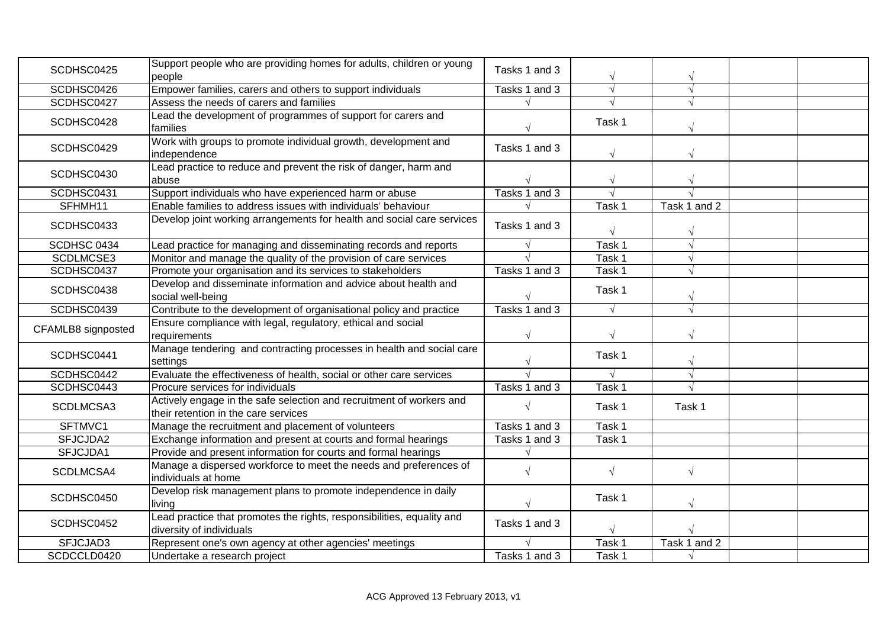| SCDHSC0425         | Support people who are providing homes for adults, children or young                                         | Tasks 1 and 3 |            |              |  |
|--------------------|--------------------------------------------------------------------------------------------------------------|---------------|------------|--------------|--|
|                    | people                                                                                                       |               | $\sqrt{ }$ |              |  |
| SCDHSC0426         | Empower families, carers and others to support individuals                                                   | Tasks 1 and 3 | $\sqrt{ }$ |              |  |
| SCDHSC0427         | Assess the needs of carers and families                                                                      |               |            |              |  |
| SCDHSC0428         | Lead the development of programmes of support for carers and<br>families                                     |               | Task 1     |              |  |
| SCDHSC0429         | Work with groups to promote individual growth, development and<br>independence                               | Tasks 1 and 3 | $\sqrt{ }$ | $\sqrt{2}$   |  |
| SCDHSC0430         | Lead practice to reduce and prevent the risk of danger, harm and<br>abuse                                    |               | $\sqrt{}$  |              |  |
| SCDHSC0431         | Support individuals who have experienced harm or abuse                                                       | Tasks 1 and 3 |            |              |  |
| SFHMH11            | Enable families to address issues with individuals' behaviour                                                |               | Task 1     | Task 1 and 2 |  |
| SCDHSC0433         | Develop joint working arrangements for health and social care services                                       | Tasks 1 and 3 |            |              |  |
| SCDHSC 0434        | Lead practice for managing and disseminating records and reports                                             |               | Task 1     |              |  |
| SCDLMCSE3          | Monitor and manage the quality of the provision of care services                                             |               | Task 1     |              |  |
| SCDHSC0437         | Promote your organisation and its services to stakeholders                                                   | Tasks 1 and 3 | Task 1     |              |  |
| SCDHSC0438         | Develop and disseminate information and advice about health and<br>social well-being                         |               | Task 1     |              |  |
| SCDHSC0439         | Contribute to the development of organisational policy and practice                                          | Tasks 1 and 3 | $\sqrt{ }$ | $\sqrt{ }$   |  |
| CFAMLB8 signposted | Ensure compliance with legal, regulatory, ethical and social                                                 |               |            |              |  |
|                    | requirements                                                                                                 | $\sqrt{}$     | $\sqrt{ }$ |              |  |
| SCDHSC0441         | Manage tendering and contracting processes in health and social care<br>settings                             |               | Task 1     | $\sqrt{}$    |  |
| SCDHSC0442         | Evaluate the effectiveness of health, social or other care services                                          |               |            | $\sqrt{ }$   |  |
| SCDHSC0443         | Procure services for individuals                                                                             | Tasks 1 and 3 | Task 1     |              |  |
| SCDLMCSA3          | Actively engage in the safe selection and recruitment of workers and<br>their retention in the care services |               | Task 1     | Task 1       |  |
| SFTMVC1            | Manage the recruitment and placement of volunteers                                                           | Tasks 1 and 3 | Task 1     |              |  |
| SFJCJDA2           | Exchange information and present at courts and formal hearings                                               | Tasks 1 and 3 | Task 1     |              |  |
| SFJCJDA1           | Provide and present information for courts and formal hearings                                               |               |            |              |  |
| SCDLMCSA4          | Manage a dispersed workforce to meet the needs and preferences of<br>individuals at home                     | $\sqrt{ }$    | $\sqrt{ }$ |              |  |
| SCDHSC0450         | Develop risk management plans to promote independence in daily<br>living                                     |               | Task 1     |              |  |
| SCDHSC0452         | Lead practice that promotes the rights, responsibilities, equality and<br>diversity of individuals           | Tasks 1 and 3 |            |              |  |
| SFJCJAD3           | Represent one's own agency at other agencies' meetings                                                       |               | Task 1     | Task 1 and 2 |  |
| SCDCCLD0420        | Undertake a research project                                                                                 | Tasks 1 and 3 | Task 1     |              |  |